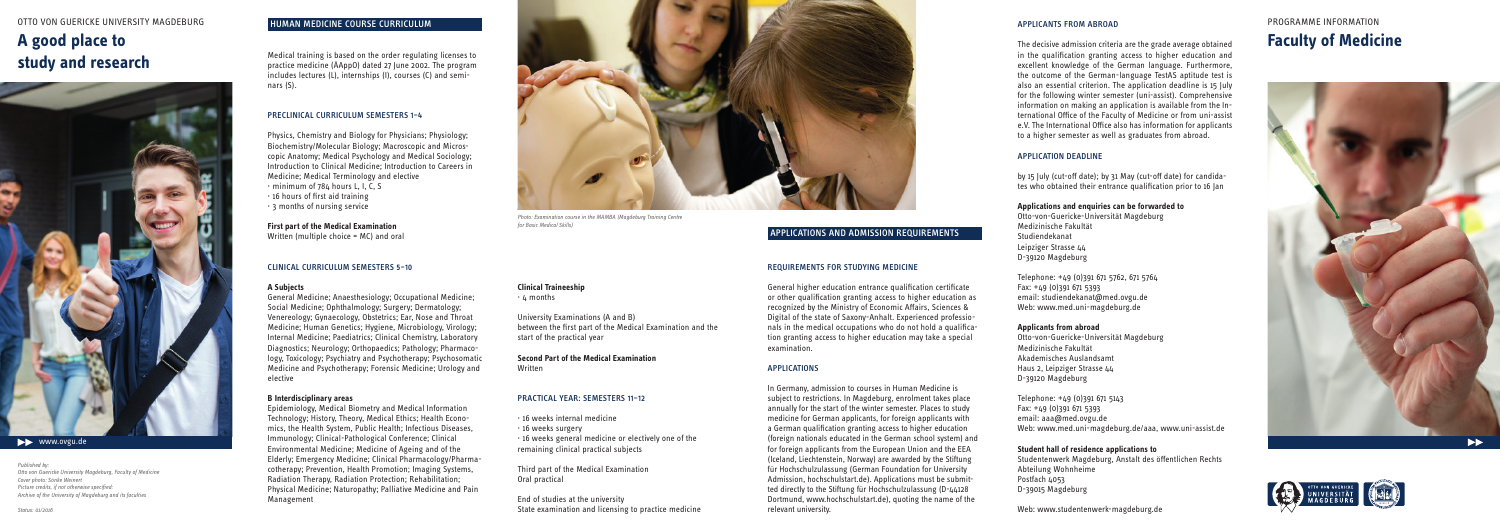

*Photo: Examination course in the MAMBA (Magdeburg Training Centre for Basic Medical Skills)*

## PROGRAMME INFORMATION **Faculty of Medicine**





*Published by: Otto von Guericke University Magdeburg, Faculty of Medicine Cover photo: Sönke Weinert Picture credits, if not otherwise specified: Archive of the University of Magdeburg and its faculties*

*Status: 01/2016*

## HUMAN MEDICINE COURSE CURRICULUM

Medical training is based on the order regulating licenses to practice medicine (ÄAppO) dated 27 June 2002. The program includes lectures (L), internships (I), courses (C) and seminars (S).

#### PRECLINICAL CURRICULUM SEMESTERS 1–4

Physics, Chemistry and Biology for Physicians; Physiology; Biochemistry/Molecular Biology; Macroscopic and Microscopic Anatomy; Medical Psychology and Medical Sociology; Introduction to Clinical Medicine; Introduction to Careers in Medicine; Medical Terminology and elective

- ∙ minimum of 784 hours L, I, C, S
- ∙ 16 hours of first aid training
- ∙ 3 months of nursing service

**First part of the Medical Examination**

Written (multiple choice = MC) and oral

### CLINICAL CURRICULUM SEMESTERS 5–10

#### **A Subjects**

General Medicine; Anaesthesiology; Occupational Medicine; Social Medicine; Ophthalmology; Surgery; Dermatology; Venereology; Gynaecology, Obstetrics; Ear, Nose and Throat Medicine; Human Genetics; Hygiene, Microbiology, Virology; Internal Medicine; Paediatrics; Clinical Chemistry, Laboratory Diagnostics; Neurology; Orthopaedics; Pathology; Pharmacology, Toxicology; Psychiatry and Psychotherapy; Psychosomatic Medicine and Psychotherapy; Forensic Medicine; Urology and elective

#### **B Interdisciplinary areas**

Epidemiology, Medical Biometry and Medical Information Technology; History, Theory, Medical Ethics; Health Economics, the Health System, Public Health; Infectious Diseases, Immunology; Clinical-Pathological Conference; Clinical Environmental Medicine; Medicine of Ageing and of the Elderly; Emergency Medicine; Clinical Pharmacology/Pharmacotherapy; Prevention, Health Promotion; Imaging Systems, Radiation Therapy, Radiation Protection; Rehabilitation; Physical Medicine; Naturopathy; Palliative Medicine and Pain Management

**Clinical Traineeship** ∙ 4 months

University Examinations (A and B)

between the first part of the Medical Examination and the

start of the practical year

**Second Part of the Medical Examination**

Written

# PRACTICAL YEAR: SEMESTERS 11–12

∙ 16 weeks internal medicine

∙ 16 weeks surgery

∙ 16 weeks general medicine or electively one of the

remaining clinical practical subjects

Third part of the Medical Examination

Oral practical

End of studies at the university

State examination and licensing to practice medicine

## APPLICATIONS AND ADMISSION REQUIREMENTS

#### REQUIREMENTS FOR STUDYING MEDICINE

General higher education entrance qualification certificate or other qualification granting access to higher education as recognized by the Ministry of Economic Affairs, Sciences & Digital of the state of Saxony-Anhalt. Experienced professionals in the medical occupations who do not hold a qualification granting access to higher education may take a special

examination.

## APPLICATIONS

In Germany, admission to courses in Human Medicine is subject to restrictions. In Magdeburg, enrolment takes place annually for the start of the winter semester. Places to study medicine for German applicants, for foreign applicants with a German qualification granting access to higher education (foreign nationals educated in the German school system) and for foreign applicants from the European Union and the EEA (Iceland, Liechtenstein, Norway) are awarded by the Stiftung für Hochschulzulassung (German Foundation for University Admission, hochschulstart.de). Applications must be submitted directly to the Stiftung für Hochschulzulassung (D-44128 Dortmund, www.hochschulstart.de), quoting the name of the

relevant university.

#### APPLICANTS FROM ABROAD

The decisive admission criteria are the grade average obtained in the qualification granting access to higher education and excellent knowledge of the German language. Furthermore, the outcome of the German-language TestAS aptitude test is also an essential criterion. The application deadline is 15 July for the following winter semester (uni-assist). Comprehensive information on making an application is available from the International Office of the Faculty of Medicine or from uni-assist e.V. The International Office also has information for applicants to a higher semester as well as graduates from abroad.

#### APPLICATION DEADLINE

by 15 July (cut-off date); by 31 May (cut-off date) for candidates who obtained their entrance qualification prior to 16 Jan

#### **Applications and enquiries can be forwarded to**

Otto-von-Guericke-Universität Magdeburg Medizinische Fakultät Studiendekanat Leipziger Strasse 44 D-39120 Magdeburg

Telephone: +49 (0)391 671 5762, 671 5764 Fax: +49 (0)391 671 5393 email: studiendekanat@med.ovgu.de Web: www.med.uni-magdeburg.de

#### **Applicants from abroad**

Otto-von-Guericke-Universität Magdeburg Medizinische Fakultät Akademisches Auslandsamt Haus 2, Leipziger Strasse 44 D-39120 Magdeburg

Telephone: +49 (0)391 671 5143 Fax: +49 (0)391 671 5393 email: aaa@med.ovgu.de Web: www.med.uni-magdeburg.de/aaa, www.uni-assist.de

#### **Student hall of residence applications to**

Studentenwerk Magdeburg, Anstalt des öffentlichen Rechts Abteilung Wohnheime Postfach 4053 D-39015 Magdeburg

Web: www.studentenwerk-magdeburg.de



## OTTO VON GUERICKE UNIVERSITY MAGDEBURG

# **A good place to study and research**